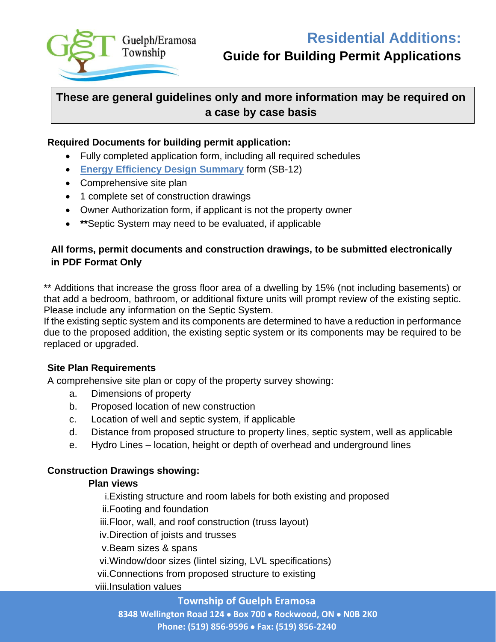

# **Guide for Building Permit Applications**

# **These are general guidelines only and more information may be required on a case by case basis**

#### **Required Documents for building permit application:**

- Fully completed application form, including all required schedules
- **Energy Efficiency Design Summary** form (SB-12)
- Comprehensive site plan
- 1 complete set of construction drawings
- Owner Authorization form, if applicant is not the property owner
- **\*\***Septic System may need to be evaluated, if applicable

## **All forms, permit documents and construction drawings, to be submitted electronically in PDF Format Only**

\*\* Additions that increase the gross floor area of a dwelling by 15% (not including basements) or that add a bedroom, bathroom, or additional fixture units will prompt review of the existing septic. Please include any information on the Septic System.

If the existing septic system and its components are determined to have a reduction in performance due to the proposed addition, the existing septic system or its components may be required to be replaced or upgraded.

#### **Site Plan Requirements**

A comprehensive site plan or copy of the property survey showing:

- a. Dimensions of property
- b. Proposed location of new construction
- c. Location of well and septic system, if applicable
- d. Distance from proposed structure to property lines, septic system, well as applicable
- e. Hydro Lines location, height or depth of overhead and underground lines

### **Construction Drawings showing:**

#### **Plan views**

i.Existing structure and room labels for both existing and proposed

- ii.Footing and foundation
- iii.Floor, wall, and roof construction (truss layout)
- iv.Direction of joists and trusses
- v.Beam sizes & spans
- vi.Window/door sizes (lintel sizing, LVL specifications)
- vii.Connections from proposed structure to existing
- viii.Insulation values

#### **Township of Guelph Eramosa**

**8348 Wellington Road 124** • **Box 700** • **Rockwood, ON** • **N0B 2K0 Phone: (519) 856-9596** • **Fax: (519) 856-2240**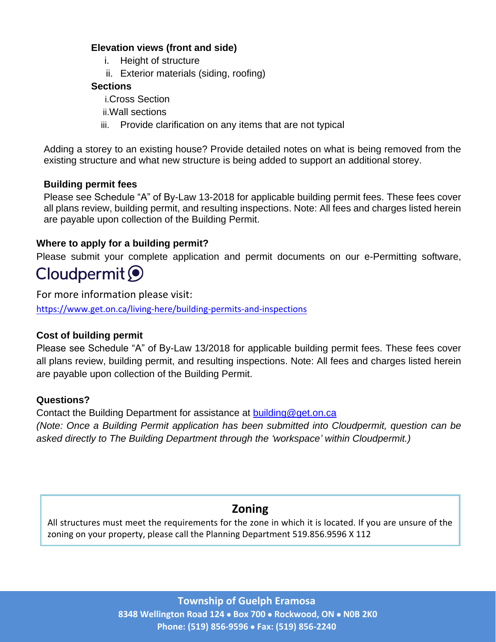#### **Elevation views (front and side)**

- i. Height of structure
- ii. Exterior materials (siding, roofing)

### **Sections**

- i.Cross Section
- ii.Wall sections
- iii. Provide clarification on any items that are not typical

Adding a storey to an existing house? Provide detailed notes on what is being removed from the existing structure and what new structure is being added to support an additional storey.

## **Building permit fees**

Please see Schedule "A" of By-Law 13-2018 for applicable building permit fees. These fees cover all plans review, building permit, and resulting inspections. Note: All fees and charges listed herein are payable upon collection of the Building Permit.

## **Where to apply for a building permit?**

Please submit your complete application and permit documents on our e-Permitting software,

# Cloudpermit O

For more information please visit:

<https://www.get.on.ca/living-here/building-permits-and-inspections>

### **Cost of building permit**

Please see Schedule "A" of By-Law 13/2018 for applicable building permit fees. These fees cover all plans review, building permit, and resulting inspections. Note: All fees and charges listed herein are payable upon collection of the Building Permit.

### **Questions?**

Contact the Building Department for assistance at [building@get.on.ca](mailto:building@get.on.ca) *(Note: Once a Building Permit application has been submitted into Cloudpermit, question can be asked directly to The Building Department through the 'workspace' within Cloudpermit.)*

# **Zoning**

All structures must meet the requirements for the zone in which it is located. If you are unsure of the zoning on your property, please call the Planning Department 519.856.9596 X 112

> **Township of Guelph Eramosa 8348 Wellington Road 124** • **Box 700** • **Rockwood, ON** • **N0B 2K0 Phone: (519) 856-9596** • **Fax: (519) 856-2240**